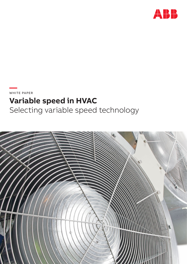

**—**  WHITE PAPER

# **Variable speed in HVAC**

Selecting variable speed technology

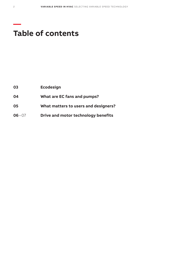## **Table of contents**

| $06 - 07$ | Drive and motor technology benefits  |
|-----------|--------------------------------------|
| 05        | What matters to users and designers? |
| 04        | What are EC fans and pumps?          |
| 03        | <b>Ecodesign</b>                     |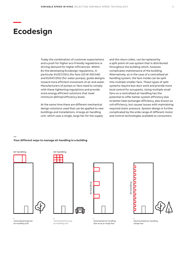## **Ecodesign**

<span id="page-2-0"></span>**—**

Today the combination of customer expectations and a push for higher eco-friendly regulations is driving demand for higher efficiencies. Within EU the developing Ecodesign regulations, in particular EU327/2011 (for fans 125 W-500 kW) and EU547/2012 (for water pumps), guide designs toward more efficient movement of air and water. Manufacturers of pumps or fans need to comply with these tightening regulations and provide more energy efficient solutions that meet minimum defined efficiency levels.

At the same time there are different mechanical design solutions used that can be applied to new buildings and installations. A large air handling unit, which uses a single, large fan for the supply

and the return sides, can be replaced by a split point-of-use system that is distributed throughout the building which, however, complicates maintenance of the building. Alternatively, as in the case of a centralized air handling system, the fans inside can be split into multiple smaller fans. These types of split systems require less duct work and provide more local control for occupants. Using multiple small fans on a centralized air handling has the potential to offer better system efficiency due to better heat exchanger efficiency, also known as coil efficiency, but causes issues with maintaining required static pressure. System design is further complicated by the wide range of different motor and control technologies available to consumers.

#### **Four different ways to manage air handling in a building**



**—**









— Centralized large fan air handling unit

— Centralized fan array air handling unit

Distributed air handling (fan array or singe fan)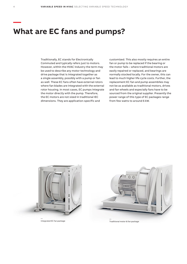### <span id="page-3-0"></span>**What are EC fans and pumps?**

Traditionally, EC stands for Electronically Commuted and typically refers just to motors. However, within the HVAC industry the term may be used to describe any motor technology and drive package that is integrated together as a single assembly, possibly with a pump or fan as well. These EC fans often have external rotors where fan blades are integrated with the external rotor housing. In most cases, EC pumps integrate the motor directly with the pump. Therefore, the EC motors are not sized in traditional IEC dimensions. They are application-specific and

customized. This also mostly requires an entire fan or pump to be replaced if the bearing or the motor fails – where traditional motors are easily repaired or replaced, and bearings are normally stocked locally. For the owner, this can lead to much higher life cycle costs. Further, the replacement EC fan and pump assemblies may not be as available as traditional motors, drives and fan wheels and especially fans have to be sourced from the original supplier. Presently the power range of this type of EC packages range from few watts to around 6 kW.



— Integrated EC fan package



Traditional motor & fan package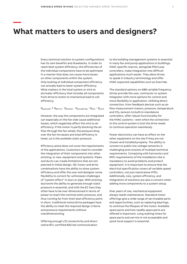#### **What matters to users and designers?**

Every technical solution to system configurations has its own benefits and drawbacks. In order to reach best system efficiency, the efficiencies of the individual components have to be optimized in a manner that does not cause more losses on other components within the system. Only looking at individual component efficiency can actually lead to lower system efficiency. What matters is the total system or wire to air/water efficiency that includes all components from drive to motor to mechanical load to coil efficiency.

<span id="page-4-0"></span>**—**

ηsystem = ηdrive ∙ ηmotor ∙ ηcoupling ∙ ηfan ∙ ηcoil

However, the way the components are integrated can especially on the fan side cause additional losses, which negatively affect the wire to air efficiency. If the motor is partly blocking the air flow through the fan wheel, the pressure drop over the fan increases and total efficiency is lower, as is the available static pressure.

Efficiency alone does not cover the requirements of the applications. Customers need to consider the integration of their components into other existing, or new, equipment and systems. Pipes and ducts can create limitations that are not planned in initial design. IEC motor and drive combinations have the ability to show system efficiency and offer the user and designer some flexibility to correct for unforeseen challenges of "system effect" in duct or pipe. With existing ductwork the ability to generate enough static pressure is essential, and with the EC fans they often have to be over dimensioned in terms of power to reach the nominal static pressure, and thus running far from their best efficiency point. In short, traditional motor/drive packages have the ability to meet the required design criteria and pressure requirements without overdimensioning.

Offering enough I/O connectivity and direct native BTL-certified BACnet communication

to the building management systems is essential in many fan and pump applications in buildings. HVAC specific macros, alongside PID/Loop controllers, make integration into difficult applications much easier. They allow drives to speak in industry terminology and offer HVAC expected capabilities such as Override.

The standard options on ABB variable frequency drives provide the user, contractor or system integrator with more options for control and more flexibility in application. Utilizing direct connection, from feedback devices such as air flow measurement meters, pressure, temperature and CO<sub>2</sub> sensors to built-in standalone controllers, offer robust functionality for the HVAC systems – even when the connection to the control system is lost the drive needs to continue operation seamlessly.

Power electronics can have an effect on the other equipment on the site if they are not chosen and installed properly. The ability to connect to public low voltage networks is challenging and consists of multiple technical requirements. Complying with harmonics and EMC requirements of the installation site is mandatory to avoid problems and protect equipment. It is important to ensure that the electrical specification covers all variable speed controllers, not just stand alone VFDs. Additionally, size, system efficiency, and integration of solutions are also a concern when adding more components to a system setup.

Over years of use, mechanical equipment always needs maintenance. Standard motor offerings give a wide range of serviceable parts and opportunities, such as replacing bearings, to continue the lifespan of the motor. Available spare parts and how readily spare parts are offered is important. Long waiting times for spare parts and service is not acceptable and quick local support is essential.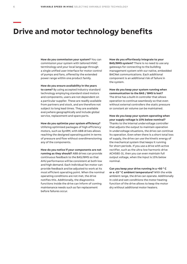### <span id="page-5-0"></span>**Drive and motor technology benefits**

**How do you commission your system?** You can commission your system with tailored HVAC terminology and your local language through a single unified user-interface for motor control of pumps and fans, offered by the extended power range within one product family.

**How do you ensure availability in the years to come?** By using accepted industry standard technology employing standard sized motors and components, users are not dependent on a particular supplier. These are readily available from partners and stock, and are therefore not subject to long lead times. They are available everywhere geographically and include global service, replacement and spare parts.

**How do you optimize your system efficiency?**

Utilizing optimized packages of high efficiency motors, such as SynRM, with ABB drives allows reaching the designed operating point in terms of pressure and flow without overdimensioning any of the components.

**How do you notice if your components are not running as they should?** ABB drives can provide continuous feedback to the BAS/BMS so that AHU performance will be consistent at both low and high demand. Each individual fan motor can provide feedback and be adjusted to work at its most efficient operating point. When the nominal operating conditions are not met, the drive notifies this. Additionally, the diagnostics functions inside the drive can inform of coming maintenance needs such as fan replacement before failures occur.

**How do you effortlessly integrate to your BAS/BMS system?** There is no need to use any gateways for connecting to the building management system with our native, embedded BACNet communications. Each additional component is an additional risk of failure in the system.

**How do you keep your system running when communication to the BAS / BMS is lost?** The drive has a built-in controller that allows operation to continue seamlessly so that even without external controllers the static pressure or constant air volume can be maintained.

**How do you keep your system operating when your supply voltage is 15% below nominal?** Thanks to the internal undervoltage controller that adjusts the output to maintain operation in undervoltage situations, the drive can continue its operation. Even when there is a short total loss of supply, the drive can use the kinetic energy of the mechanical system that keeps it running for short periods. If you use a drive with active rectifier, such as the ultra-low harmonic drive ACH580-31, then you can even maintain full output voltage, when the input is 15% below nominal.

**Can you keep your drive running in a +50 ° C or a -15 ° C ambient temperature?** With the wide ambient range, the drive can operate. Additionally in cold and wet conditions the motor heating function of the drive allows to keep the motor dry without additional motor heaters.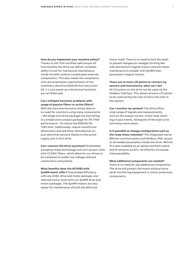**How do you implement your machine safety?**

Thanks to the TÜV-certified safe torque off functionality the drive can deliver complete safety circuit for mechanical maintenance inside the AHU without complicated external components. This also makes the compliance with documentation requirements of the machinery directive 2006/42/EU instruction Ed. 2.1 a lot easier as critical stop functions are certified safe.

**Can I mitigate harmonic problems with usage of passive filters or active filters?** With the ultra-low harmonic drives there is no need for solutions using many components – the single ULH drive package has everything in a simple and compact package for 3% THDi performance – far below the IEEE519 5% TDDi limit. Additionally, reduce transformer dimensions and see fewer disturbances on your electrical network thanks to the active supply unit in ULH drive.

**Can I connect the drive anywhere?** Embedded swinging choke technology and ULH variant come with C2 EMC filters, which allow for our drives to be compliant to public low voltage network connections everywhere.

**What benefits does the ACH580 with SynRM motor offer?** Guaranteed efficiency with any HVAC drive and motor package, and reduced motor noise with our SynRM drive and motor packages. The SynRM motors are also easier for maintenance of both the AHU and

motor itself. There is no need to lock the shaft to prevent dangerous voltages forming like with permanent magnet motors and the motor maintenance is simpler with SynRM than permanent magnet motors.

**There are no more I/O points to connect my sensors and instruments, what can I do?** All I/O points on the drive can be used via the fieldbus interface. This allows all extra I/O points to be used saving the cost of extra I/O units in the system.

**Can I monitor my system?** The drive offers wide range of signals and measurements, such as the output current, motor load, event log of past events, histogram of the load curve and many more values.

**Is it possible to change configuration such as the ramp times remotely?** The integrated native BACnet communication and Modbus offer access to all needed parameters inside the drive. BACnet IP is also available as an option and both native and IP versions are BTL certified for increased interoperability.

**What additional components are needed?** There is no need for any additional components. The drive will protect the motor without extra earth monitoring equipment or motor protection components.